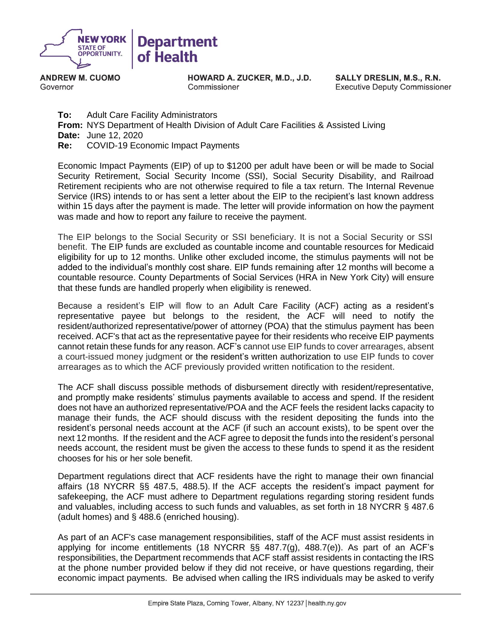

**ANDREW M. CUOMO** Governor

HOWARD A. ZUCKER, M.D., J.D. Commissioner

SALLY DRESLIN, M.S., R.N. **Executive Deputy Commissioner** 

**To:** Adult Care Facility Administrators **From:** NYS Department of Health Division of Adult Care Facilities & Assisted Living **Date:** June 12, 2020 **Re:** COVID-19 Economic Impact Payments

Economic Impact Payments (EIP) of up to \$1200 per adult have been or will be made to Social Security Retirement, Social Security Income (SSI), Social Security Disability, and Railroad Retirement recipients who are not otherwise required to file a tax return. The Internal Revenue Service (IRS) intends to or has sent a letter about the EIP to the recipient's last known address within 15 days after the payment is made. The letter will provide information on how the payment was made and how to report any failure to receive the payment.

The EIP belongs to the Social Security or SSI beneficiary. It is not a Social Security or SSI benefit. The EIP funds are excluded as countable income and countable resources for Medicaid eligibility for up to 12 months. Unlike other excluded income, the stimulus payments will not be added to the individual's monthly cost share. EIP funds remaining after 12 months will become a countable resource. County Departments of Social Services (HRA in New York City) will ensure that these funds are handled properly when eligibility is renewed.

Because a resident's EIP will flow to an Adult Care Facility (ACF) acting as a resident's representative payee but belongs to the resident, the ACF will need to notify the resident/authorized representative/power of attorney (POA) that the stimulus payment has been received. ACF's that act as the representative payee for their residents who receive EIP payments cannot retain these funds for any reason. ACF's cannot use EIP funds to cover arrearages, absent a court-issued money judgment or the resident's written authorization to use EIP funds to cover arrearages as to which the ACF previously provided written notification to the resident.

The ACF shall discuss possible methods of disbursement directly with resident/representative, and promptly make residents' stimulus payments available to access and spend. If the resident does not have an authorized representative/POA and the ACF feels the resident lacks capacity to manage their funds, the ACF should discuss with the resident depositing the funds into the resident's personal needs account at the ACF (if such an account exists), to be spent over the next 12 months. If the resident and the ACF agree to deposit the funds into the resident's personal needs account, the resident must be given the access to these funds to spend it as the resident chooses for his or her sole benefit.

Department regulations direct that ACF residents have the right to manage their own financial affairs (18 NYCRR §§ 487.5, 488.5). If the ACF accepts the resident's impact payment for safekeeping, the ACF must adhere to Department regulations regarding storing resident funds and valuables, including access to such funds and valuables, as set forth in 18 NYCRR § 487.6 (adult homes) and § 488.6 (enriched housing).

As part of an ACF's case management responsibilities, staff of the ACF must assist residents in applying for income entitlements (18 NYCRR §§ 487.7(g), 488.7(e)). As part of an ACF's responsibilities, the Department recommends that ACF staff assist residents in contacting the IRS at the phone number provided below if they did not receive, or have questions regarding, their economic impact payments. Be advised when calling the IRS individuals may be asked to verify